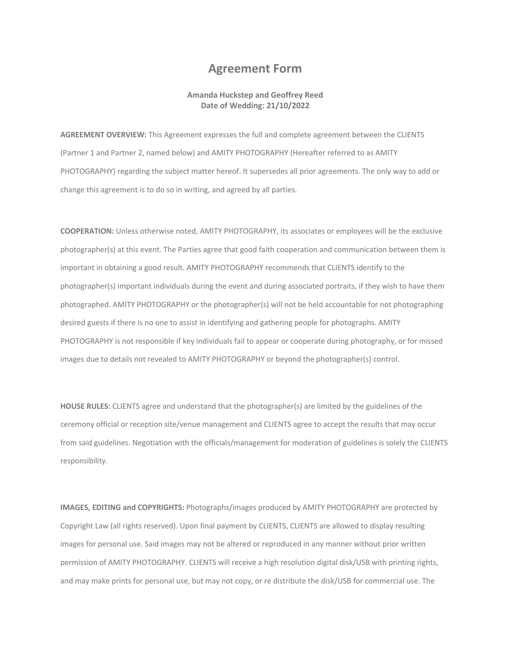## **Agreement Form**

## **Amanda Huckstep and Geoffrey Reed Date of Wedding: 21/10/2022**

**AGREEMENT OVERVIEW:** This Agreement expresses the full and complete agreement between the CLIENTS (Partner 1 and Partner 2, named below) and AMITY PHOTOGRAPHY (Hereafter referred to as AMITY PHOTOGRAPHY) regarding the subject matter hereof. It supersedes all prior agreements. The only way to add or change this agreement is to do so in writing, and agreed by all parties.

**COOPERATION:** Unless otherwise noted, AMITY PHOTOGRAPHY, its associates or employees will be the exclusive photographer(s) at this event. The Parties agree that good faith cooperation and communication between them is important in obtaining a good result. AMITY PHOTOGRAPHY recommends that CLIENTS identify to the photographer(s) important individuals during the event and during associated portraits, if they wish to have them photographed. AMITY PHOTOGRAPHY or the photographer(s) will not be held accountable for not photographing desired guests if there is no one to assist in identifying and gathering people for photographs. AMITY PHOTOGRAPHY is not responsible if key individuals fail to appear or cooperate during photography, or for missed images due to details not revealed to AMITY PHOTOGRAPHY or beyond the photographer(s) control.

**HOUSE RULES:** CLIENTS agree and understand that the photographer(s) are limited by the guidelines of the ceremony official or reception site/venue management and CLIENTS agree to accept the results that may occur from said guidelines. Negotiation with the officials/management for moderation of guidelines is solely the CLIENTS responsibility.

**IMAGES, EDITING and COPYRIGHTS:** Photographs/images produced by AMITY PHOTOGRAPHY are protected by Copyright Law (all rights reserved). Upon final payment by CLIENTS, CLIENTS are allowed to display resulting images for personal use. Said images may not be altered or reproduced in any manner without prior written permission of AMITY PHOTOGRAPHY. CLIENTS will receive a high resolution digital disk/USB with printing rights, and may make prints for personal use, but may not copy, or re distribute the disk/USB for commercial use. The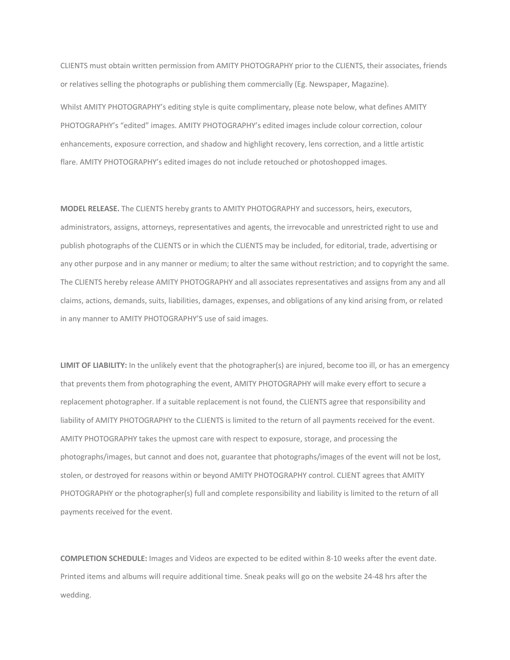CLIENTS must obtain written permission from AMITY PHOTOGRAPHY prior to the CLIENTS, their associates, friends or relatives selling the photographs or publishing them commercially (Eg. Newspaper, Magazine).

Whilst AMITY PHOTOGRAPHY's editing style is quite complimentary, please note below, what defines AMITY PHOTOGRAPHY's "edited" images. AMITY PHOTOGRAPHY's edited images include colour correction, colour enhancements, exposure correction, and shadow and highlight recovery, lens correction, and a little artistic flare. AMITY PHOTOGRAPHY's edited images do not include retouched or photoshopped images.

**MODEL RELEASE.** The CLIENTS hereby grants to AMITY PHOTOGRAPHY and successors, heirs, executors, administrators, assigns, attorneys, representatives and agents, the irrevocable and unrestricted right to use and publish photographs of the CLIENTS or in which the CLIENTS may be included, for editorial, trade, advertising or any other purpose and in any manner or medium; to alter the same without restriction; and to copyright the same. The CLIENTS hereby release AMITY PHOTOGRAPHY and all associates representatives and assigns from any and all claims, actions, demands, suits, liabilities, damages, expenses, and obligations of any kind arising from, or related in any manner to AMITY PHOTOGRAPHY'S use of said images.

**LIMIT OF LIABILITY:** In the unlikely event that the photographer(s) are injured, become too ill, or has an emergency that prevents them from photographing the event, AMITY PHOTOGRAPHY will make every effort to secure a replacement photographer. If a suitable replacement is not found, the CLIENTS agree that responsibility and liability of AMITY PHOTOGRAPHY to the CLIENTS is limited to the return of all payments received for the event. AMITY PHOTOGRAPHY takes the upmost care with respect to exposure, storage, and processing the photographs/images, but cannot and does not, guarantee that photographs/images of the event will not be lost, stolen, or destroyed for reasons within or beyond AMITY PHOTOGRAPHY control. CLIENT agrees that AMITY PHOTOGRAPHY or the photographer(s) full and complete responsibility and liability is limited to the return of all payments received for the event.

**COMPLETION SCHEDULE:** Images and Videos are expected to be edited within 8-10 weeks after the event date. Printed items and albums will require additional time. Sneak peaks will go on the website 24-48 hrs after the wedding.